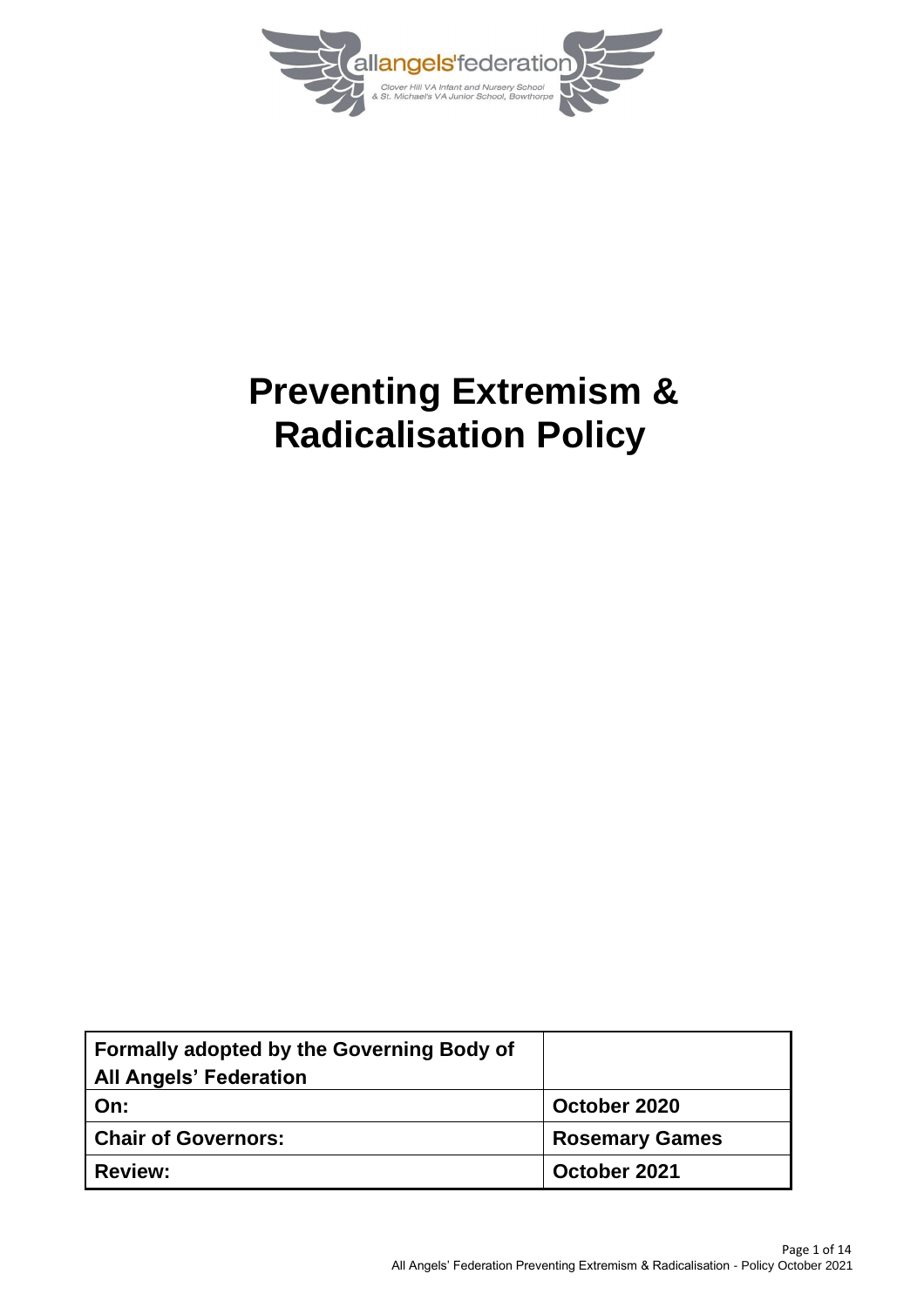

# **Preventing Extremism & Radicalisation Policy**

| Formally adopted by the Governing Body of<br><b>All Angels' Federation</b> |                       |
|----------------------------------------------------------------------------|-----------------------|
| On:                                                                        | October 2020          |
| <b>Chair of Governors:</b>                                                 | <b>Rosemary Games</b> |
| <b>Review:</b>                                                             | October 2021          |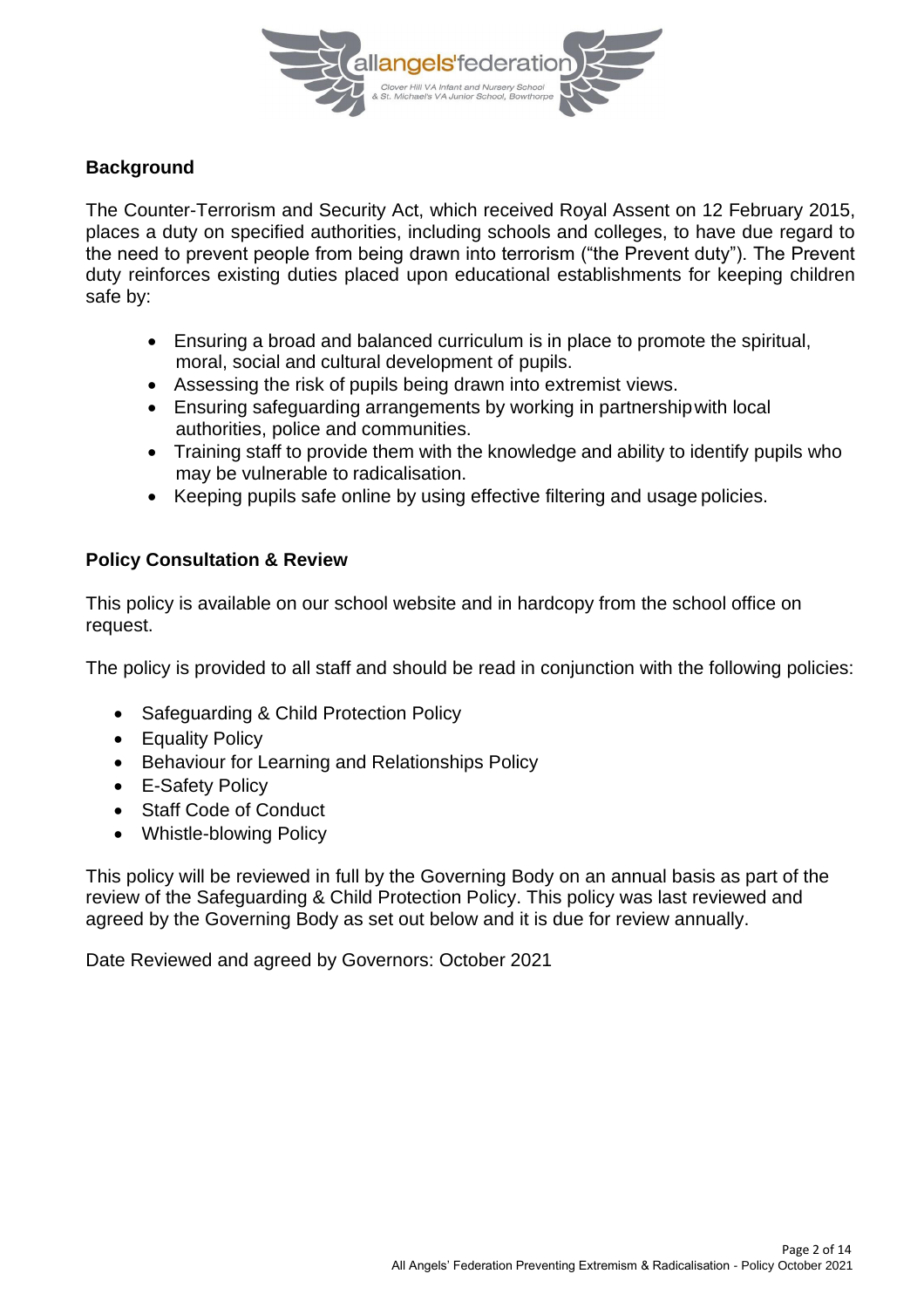

#### **Background**

The Counter-Terrorism and Security Act, which received Royal Assent on 12 February 2015, places a duty on specified authorities, including schools and colleges, to have due regard to the need to prevent people from being drawn into terrorism ("the Prevent duty"). The Prevent duty reinforces existing duties placed upon educational establishments for keeping children safe by:

- Ensuring a broad and balanced curriculum is in place to promote the spiritual, moral, social and cultural development of pupils.
- Assessing the risk of pupils being drawn into extremist views.
- Ensuring safeguarding arrangements by working in partnershipwith local authorities, police and communities.
- Training staff to provide them with the knowledge and ability to identify pupils who may be vulnerable to radicalisation.
- Keeping pupils safe online by using effective filtering and usage policies.

#### **Policy Consultation & Review**

This policy is available on our school website and in hardcopy from the school office on request.

The policy is provided to all staff and should be read in conjunction with the following policies:

- Safeguarding & Child Protection Policy
- Equality Policy
- Behaviour for Learning and Relationships Policy
- E-Safety Policy
- Staff Code of Conduct
- Whistle-blowing Policy

This policy will be reviewed in full by the Governing Body on an annual basis as part of the review of the Safeguarding & Child Protection Policy. This policy was last reviewed and agreed by the Governing Body as set out below and it is due for review annually.

Date Reviewed and agreed by Governors: October 2021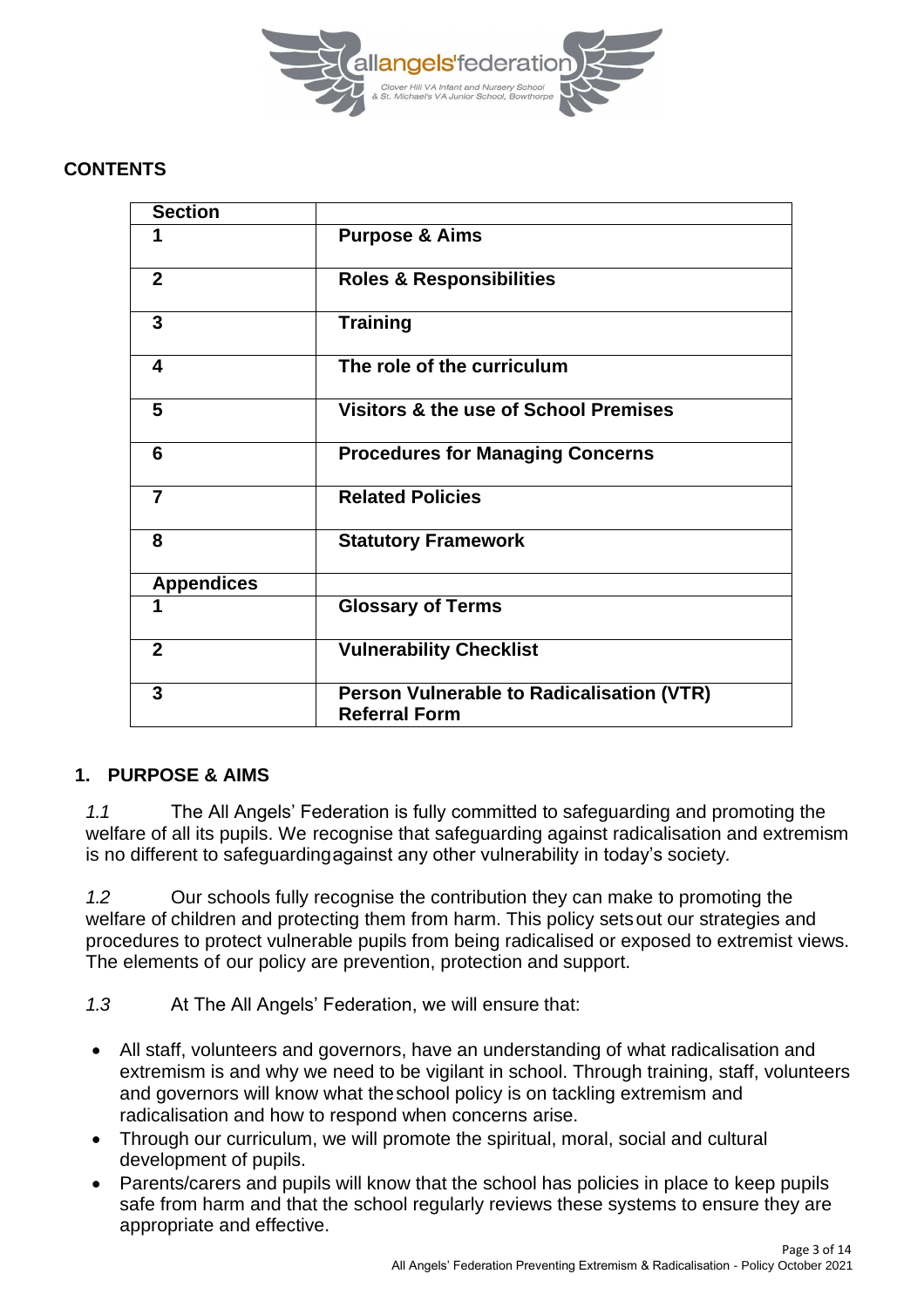

#### **CONTENTS**

| <b>Section</b>    |                                                                          |
|-------------------|--------------------------------------------------------------------------|
| 1                 | <b>Purpose &amp; Aims</b>                                                |
| $\overline{2}$    | <b>Roles &amp; Responsibilities</b>                                      |
| 3                 | <b>Training</b>                                                          |
| 4                 | The role of the curriculum                                               |
| 5                 | Visitors & the use of School Premises                                    |
| 6                 | <b>Procedures for Managing Concerns</b>                                  |
| $\overline{7}$    | <b>Related Policies</b>                                                  |
| 8                 | <b>Statutory Framework</b>                                               |
| <b>Appendices</b> |                                                                          |
| 1                 | <b>Glossary of Terms</b>                                                 |
| $\mathbf{2}$      | <b>Vulnerability Checklist</b>                                           |
| 3                 | <b>Person Vulnerable to Radicalisation (VTR)</b><br><b>Referral Form</b> |

#### **1. PURPOSE & AIMS**

*1.1* The All Angels' Federation is fully committed to safeguarding and promoting the welfare of all its pupils. We recognise that safeguarding against radicalisation and extremism is no different to safeguardingagainst any other vulnerability in today's society*.*

*1.2* Our schools fully recognise the contribution they can make to promoting the welfare of children and protecting them from harm. This policy setsout our strategies and procedures to protect vulnerable pupils from being radicalised or exposed to extremist views. The elements of our policy are prevention, protection and support.

*1.3* At The All Angels' Federation, we will ensure that:

- All staff, volunteers and governors, have an understanding of what radicalisation and extremism is and why we need to be vigilant in school. Through training, staff, volunteers and governors will know what theschool policy is on tackling extremism and radicalisation and how to respond when concerns arise.
- Through our curriculum, we will promote the spiritual, moral, social and cultural development of pupils.
- Parents/carers and pupils will know that the school has policies in place to keep pupils safe from harm and that the school regularly reviews these systems to ensure they are appropriate and effective.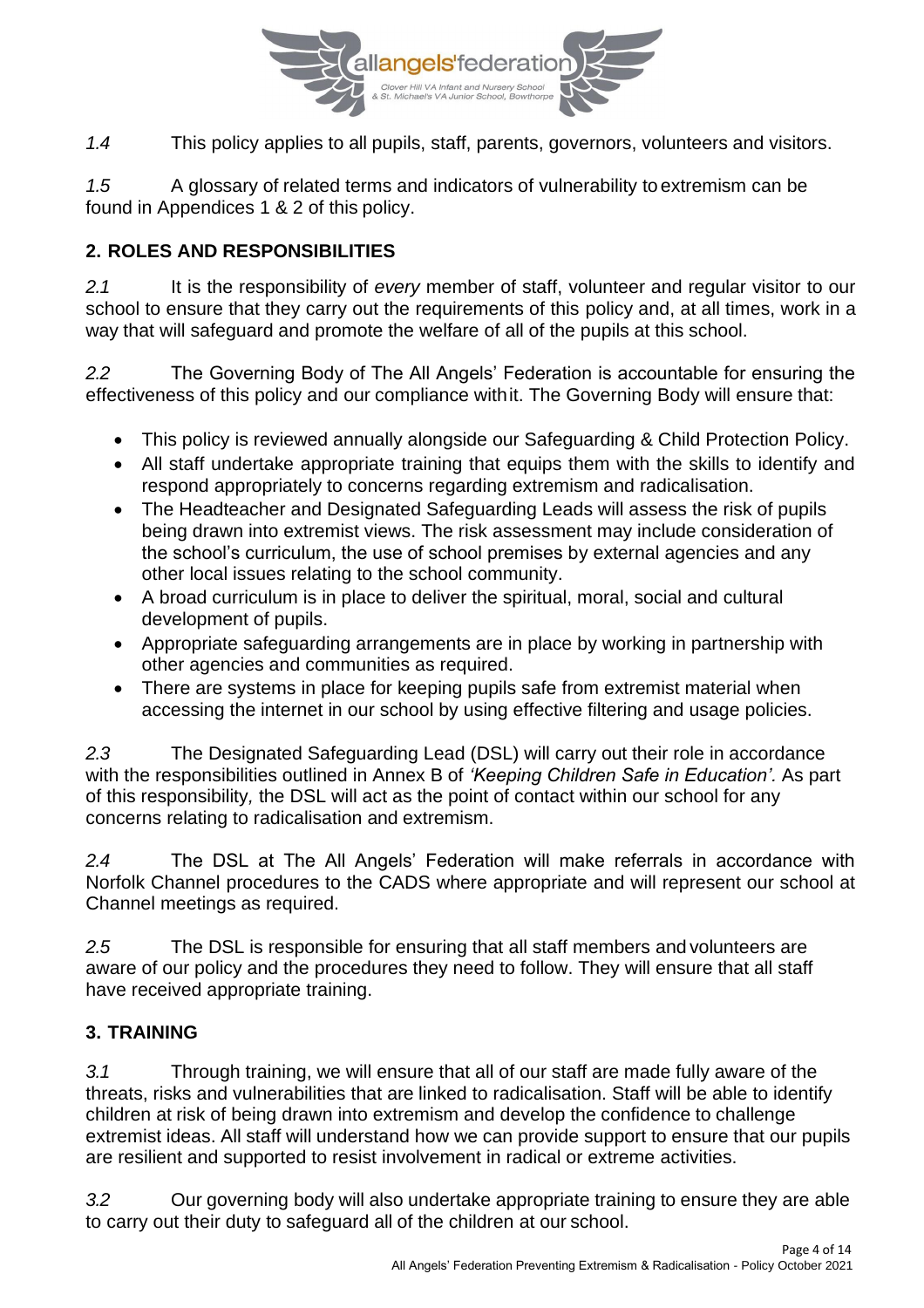

*1.4* This policy applies to all pupils, staff, parents, governors, volunteers and visitors.

*1.5* A glossary of related terms and indicators of vulnerability to extremism can be found in Appendices 1 & 2 of this policy.

## **2. ROLES AND RESPONSIBILITIES**

*2.1* It is the responsibility of *every* member of staff, volunteer and regular visitor to our school to ensure that they carry out the requirements of this policy and, at all times, work in a way that will safeguard and promote the welfare of all of the pupils at this school.

*2.2* The Governing Body of The All Angels' Federation is accountable for ensuring the effectiveness of this policy and our compliance withit. The Governing Body will ensure that:

- This policy is reviewed annually alongside our Safeguarding & Child Protection Policy.
- All staff undertake appropriate training that equips them with the skills to identify and respond appropriately to concerns regarding extremism and radicalisation.
- The Headteacher and Designated Safeguarding Leads will assess the risk of pupils being drawn into extremist views. The risk assessment may include consideration of the school's curriculum, the use of school premises by external agencies and any other local issues relating to the school community.
- A broad curriculum is in place to deliver the spiritual, moral, social and cultural development of pupils.
- Appropriate safeguarding arrangements are in place by working in partnership with other agencies and communities as required.
- There are systems in place for keeping pupils safe from extremist material when accessing the internet in our school by using effective filtering and usage policies.

*2.3* The Designated Safeguarding Lead (DSL) will carry out their role in accordance with the responsibilities outlined in Annex B of *'Keeping Children Safe in Education'.* As part of this responsibility*,* the DSL will act as the point of contact within our school for any concerns relating to radicalisation and extremism.

*2.4* The DSL at The All Angels' Federation will make referrals in accordance with Norfolk Channel procedures to the CADS where appropriate and will represent our school at Channel meetings as required.

*2.5* The DSL is responsible for ensuring that all staff members and volunteers are aware of our policy and the procedures they need to follow. They will ensure that all staff have received appropriate training.

## **3. TRAINING**

*3.1* Through training, we will ensure that all of our staff are made fully aware of the threats, risks and vulnerabilities that are linked to radicalisation. Staff will be able to identify children at risk of being drawn into extremism and develop the confidence to challenge extremist ideas. All staff will understand how we can provide support to ensure that our pupils are resilient and supported to resist involvement in radical or extreme activities.

*3.2* Our governing body will also undertake appropriate training to ensure they are able to carry out their duty to safeguard all of the children at our school.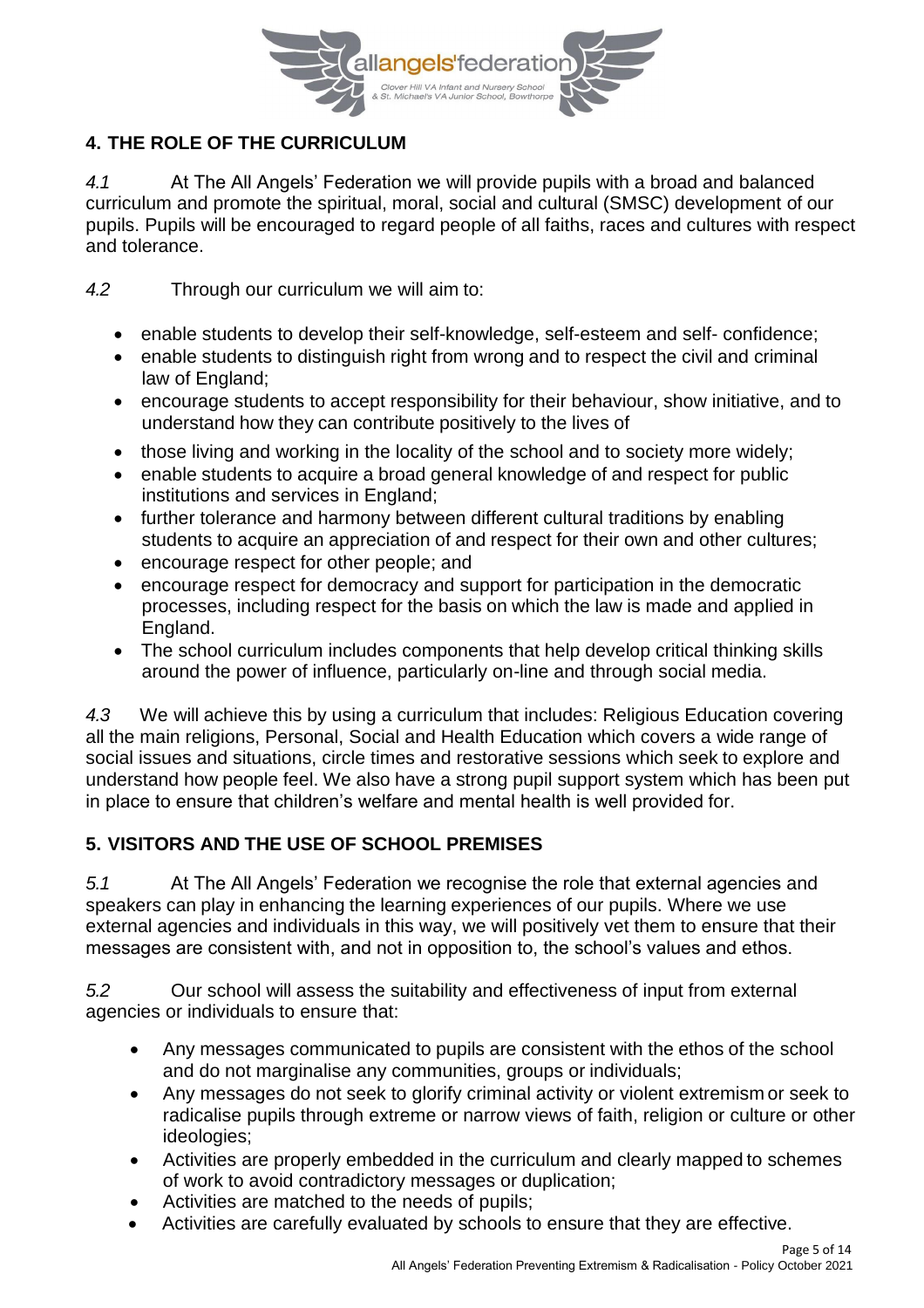

## **4. THE ROLE OF THE CURRICULUM**

*4.1* At The All Angels' Federation we will provide pupils with a broad and balanced curriculum and promote the spiritual, moral, social and cultural (SMSC) development of our pupils. Pupils will be encouraged to regard people of all faiths, races and cultures with respect and tolerance.

*4.2* Through our curriculum we will aim to:

- enable students to develop their self-knowledge, self-esteem and self- confidence;
- enable students to distinguish right from wrong and to respect the civil and criminal law of England;
- encourage students to accept responsibility for their behaviour, show initiative, and to understand how they can contribute positively to the lives of
- those living and working in the locality of the school and to society more widely;
- enable students to acquire a broad general knowledge of and respect for public institutions and services in England;
- further tolerance and harmony between different cultural traditions by enabling students to acquire an appreciation of and respect for their own and other cultures;
- encourage respect for other people; and
- encourage respect for democracy and support for participation in the democratic processes, including respect for the basis on which the law is made and applied in England.
- The school curriculum includes components that help develop critical thinking skills around the power of influence, particularly on-line and through social media.

*4.3* We will achieve this by using a curriculum that includes: Religious Education covering all the main religions, Personal, Social and Health Education which covers a wide range of social issues and situations, circle times and restorative sessions which seek to explore and understand how people feel. We also have a strong pupil support system which has been put in place to ensure that children's welfare and mental health is well provided for.

## **5. VISITORS AND THE USE OF SCHOOL PREMISES**

*5.1* At The All Angels' Federation we recognise the role that external agencies and speakers can play in enhancing the learning experiences of our pupils. Where we use external agencies and individuals in this way, we will positively vet them to ensure that their messages are consistent with, and not in opposition to, the school's values and ethos.

*5.2* Our school will assess the suitability and effectiveness of input from external agencies or individuals to ensure that:

- Any messages communicated to pupils are consistent with the ethos of the school and do not marginalise any communities, groups or individuals;
- Any messages do not seek to glorify criminal activity or violent extremism or seek to radicalise pupils through extreme or narrow views of faith, religion or culture or other ideologies;
- Activities are properly embedded in the curriculum and clearly mapped to schemes of work to avoid contradictory messages or duplication;
- Activities are matched to the needs of pupils;
- Activities are carefully evaluated by schools to ensure that they are effective.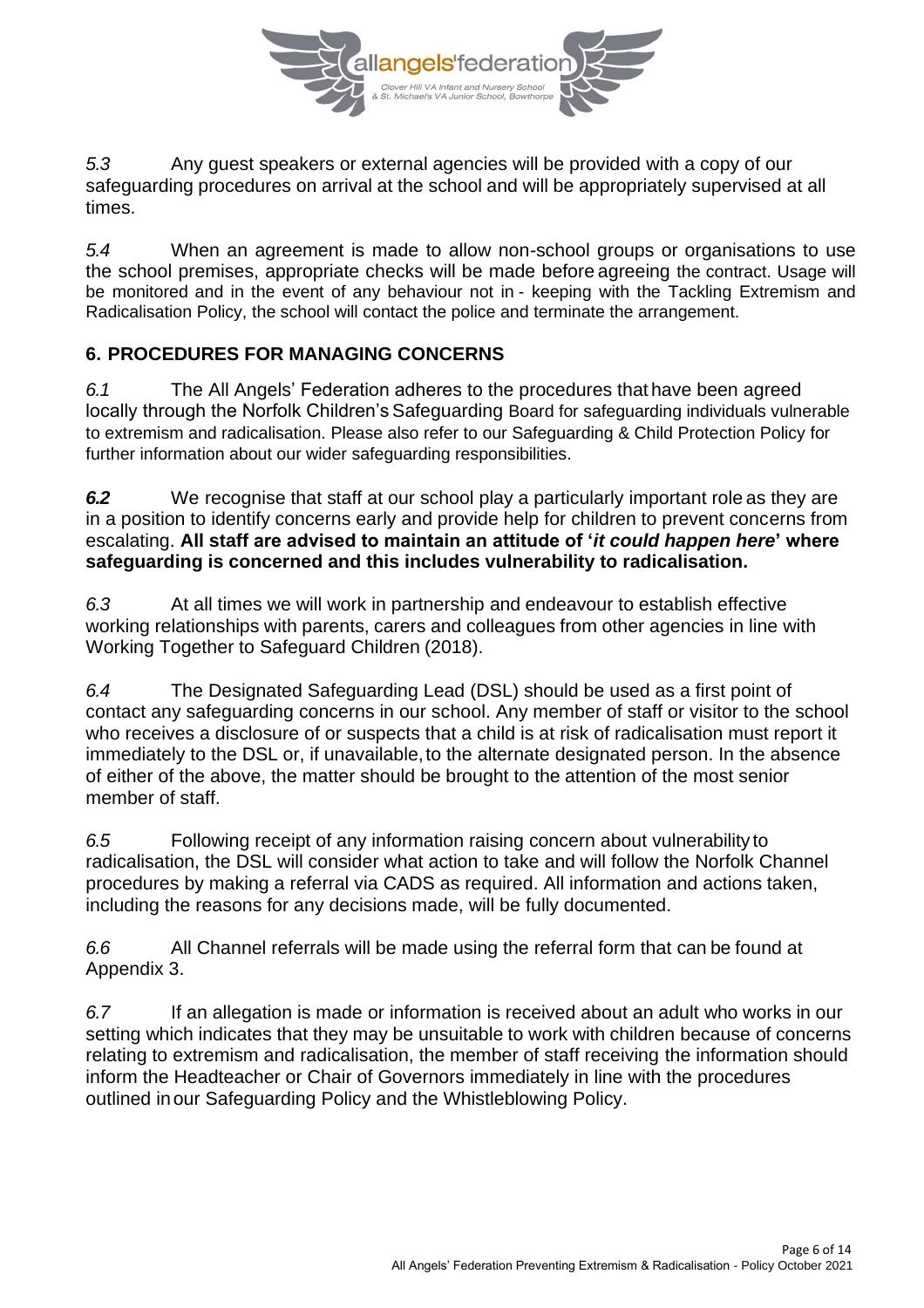

*5.3* Any guest speakers or external agencies will be provided with a copy of our safeguarding procedures on arrival at the school and will be appropriately supervised at all times.

*5.4* When an agreement is made to allow non-school groups or organisations to use the school premises, appropriate checks will be made before agreeing the contract. Usage will be monitored and in the event of any behaviour not in - keeping with the Tackling Extremism and Radicalisation Policy, the school will contact the police and terminate the arrangement.

#### **6. PROCEDURES FOR MANAGING CONCERNS**

*6.1* The All Angels' Federation adheres to the procedures that have been agreed locally through the Norfolk Children's Safeguarding Board for safeguarding individuals vulnerable to extremism and radicalisation. Please also refer to our Safeguarding & Child Protection Policy for further information about our wider safeguarding responsibilities.

*6.2* We recognise that staff at our school play a particularly important role as they are in a position to identify concerns early and provide help for children to prevent concerns from escalating. **All staff are advised to maintain an attitude of '***it could happen here***' where safeguarding is concerned and this includes vulnerability to radicalisation.**

*6.3* At all times we will work in partnership and endeavour to establish effective working relationships with parents, carers and colleagues from other agencies in line with Working Together to Safeguard Children (2018).

*6.4* The Designated Safeguarding Lead (DSL) should be used as a first point of contact any safeguarding concerns in our school. Any member of staff or visitor to the school who receives a disclosure of or suspects that a child is at risk of radicalisation must report it immediately to the DSL or, if unavailable, to the alternate designated person. In the absence of either of the above, the matter should be brought to the attention of the most senior member of staff.

*6.5* Following receipt of any information raising concern about vulnerability to radicalisation, the DSL will consider what action to take and will follow the Norfolk Channel procedures by making a referral via CADS as required. All information and actions taken, including the reasons for any decisions made, will be fully documented.

*6.6* All Channel referrals will be made using the referral form that can be found at Appendix 3.

*6.7* If an allegation is made or information is received about an adult who works in our setting which indicates that they may be unsuitable to work with children because of concerns relating to extremism and radicalisation, the member of staff receiving the information should inform the Headteacher or Chair of Governors immediately in line with the procedures outlined inour Safeguarding Policy and the Whistleblowing Policy.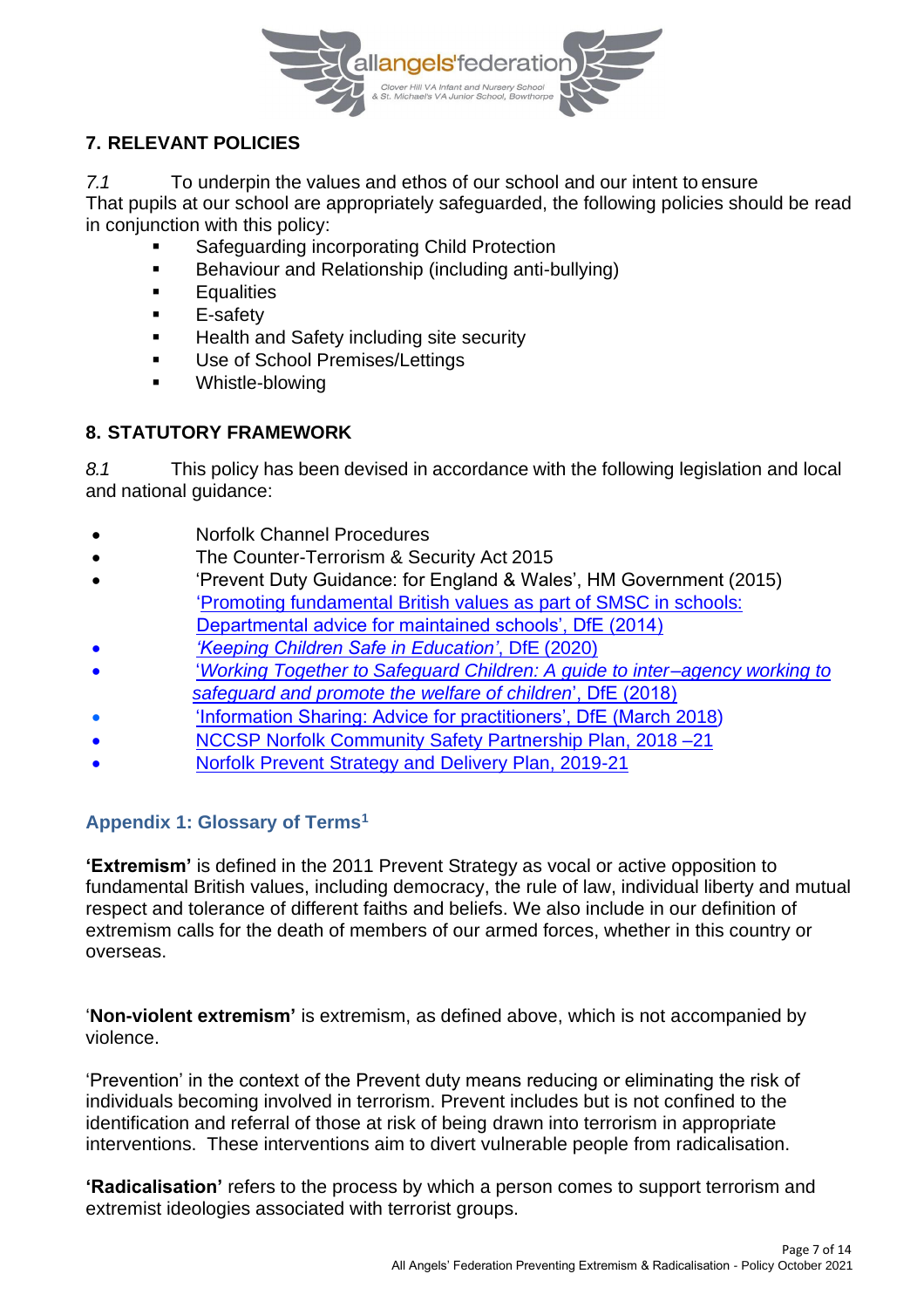

## **7. RELEVANT POLICIES**

*7.1* To underpin the values and ethos of our school and our intent to ensure That pupils at our school are appropriately safeguarded, the following policies should be read in conjunction with this policy:

- Safeguarding incorporating Child Protection
- Behaviour and Relationship (including anti-bullying)
- Equalities
- E-safety
- Health and Safety including site security
- Use of School Premises/Lettings
- Whistle-blowing

## **8. STATUTORY FRAMEWORK**

*8.1* This policy has been devised in accordance with the following legislation and local and national guidance:

- Norfolk Channel Procedures
- The Counter-Terrorism & Security Act 2015
- 'Prevent Duty Guidance: for England & Wales', HM Government (2015) 'Promoting fundamental British values as part of SMSC in schools:
	- Departmental advice for maintained schools', DfE (2014)
- *'Keeping Children Safe in Education'*, DfE (2020)
- '*Working Together to Safeguard Children: A guide to inter–agency working to safeguard and promote the welfare of children*', DfE (2018)
- 'Information Sharing: Advice for practitioners', DfE (March 2018)
- NCCSP Norfolk Community Safety Partnership Plan, 2018 –21
- Norfolk Prevent Strategy and Delivery Plan, 2019-21

## **Appendix 1: Glossary of Terms<sup>1</sup>**

**'Extremism'** is defined in the 2011 Prevent Strategy as vocal or active opposition to fundamental British values, including democracy, the rule of law, individual liberty and mutual respect and tolerance of different faiths and beliefs. We also include in our definition of extremism calls for the death of members of our armed forces, whether in this country or overseas.

'**Non-violent extremism'** is extremism, as defined above, which is not accompanied by violence.

'Prevention' in the context of the Prevent duty means reducing or eliminating the risk of individuals becoming involved in terrorism. Prevent includes but is not confined to the identification and referral of those at risk of being drawn into terrorism in appropriate interventions. These interventions aim to divert vulnerable people from radicalisation.

**'Radicalisation'** refers to the process by which a person comes to support terrorism and extremist ideologies associated with terrorist groups.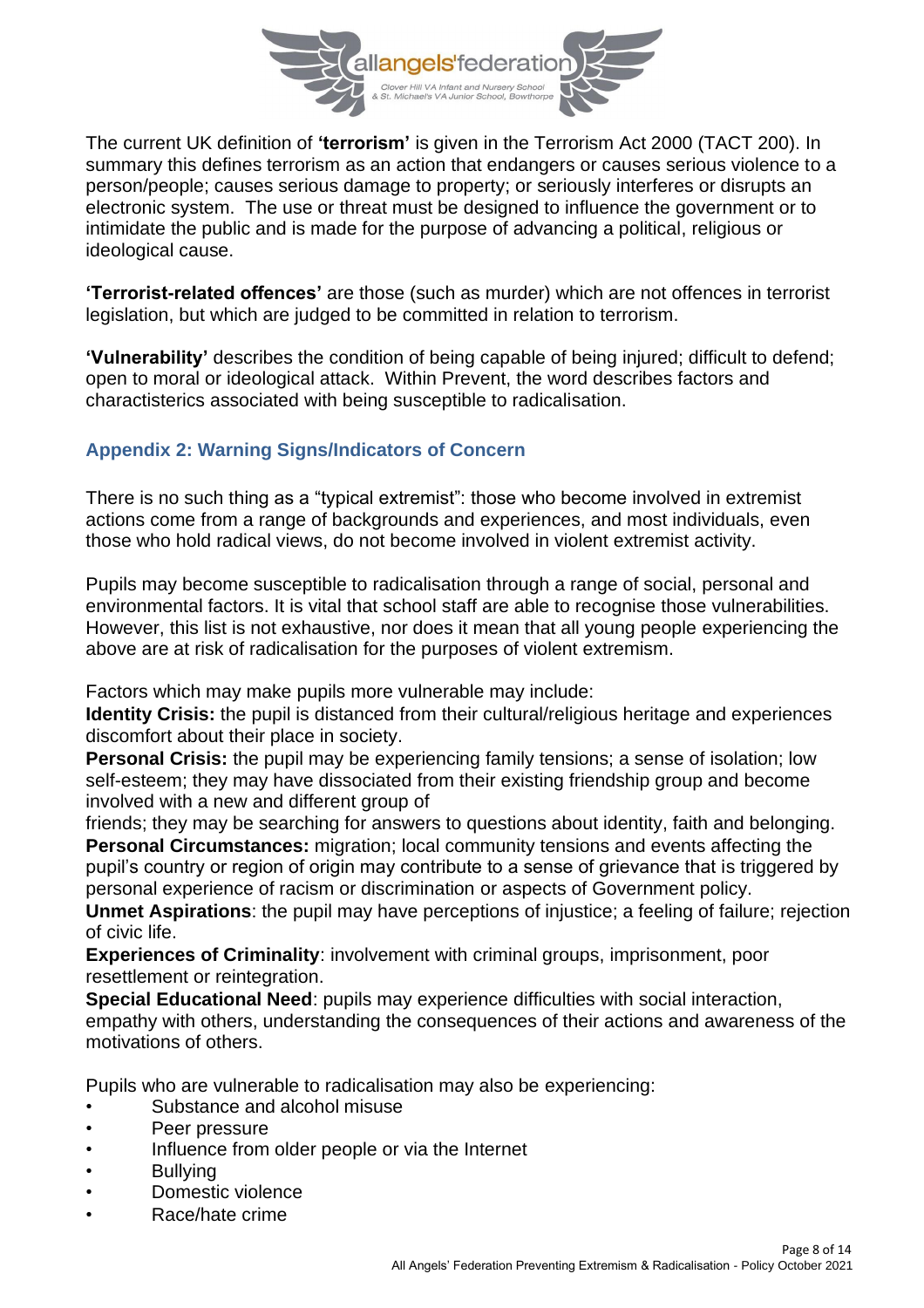

The current UK definition of **'terrorism'** is given in the Terrorism Act 2000 (TACT 200). In summary this defines terrorism as an action that endangers or causes serious violence to a person/people; causes serious damage to property; or seriously interferes or disrupts an electronic system. The use or threat must be designed to influence the government or to intimidate the public and is made for the purpose of advancing a political, religious or ideological cause.

**'Terrorist-related offences'** are those (such as murder) which are not offences in terrorist legislation, but which are judged to be committed in relation to terrorism.

**'Vulnerability'** describes the condition of being capable of being injured; difficult to defend; open to moral or ideological attack. Within Prevent, the word describes factors and charactisterics associated with being susceptible to radicalisation.

## **Appendix 2: Warning Signs/Indicators of Concern**

There is no such thing as a "typical extremist": those who become involved in extremist actions come from a range of backgrounds and experiences, and most individuals, even those who hold radical views, do not become involved in violent extremist activity.

Pupils may become susceptible to radicalisation through a range of social, personal and environmental factors. It is vital that school staff are able to recognise those vulnerabilities. However, this list is not exhaustive, nor does it mean that all young people experiencing the above are at risk of radicalisation for the purposes of violent extremism.

Factors which may make pupils more vulnerable may include:

**Identity Crisis:** the pupil is distanced from their cultural/religious heritage and experiences discomfort about their place in society.

**Personal Crisis:** the pupil may be experiencing family tensions; a sense of isolation; low self-esteem; they may have dissociated from their existing friendship group and become involved with a new and different group of

friends; they may be searching for answers to questions about identity, faith and belonging. **Personal Circumstances:** migration; local community tensions and events affecting the pupil's country or region of origin may contribute to a sense of grievance that is triggered by personal experience of racism or discrimination or aspects of Government policy.

**Unmet Aspirations**: the pupil may have perceptions of injustice; a feeling of failure; rejection of civic life.

**Experiences of Criminality**: involvement with criminal groups, imprisonment, poor resettlement or reintegration.

**Special Educational Need**: pupils may experience difficulties with social interaction, empathy with others, understanding the consequences of their actions and awareness of the motivations of others.

Pupils who are vulnerable to radicalisation may also be experiencing:

- Substance and alcohol misuse
- Peer pressure
- Influence from older people or via the Internet
- **Bullving**
- Domestic violence
- Race/hate crime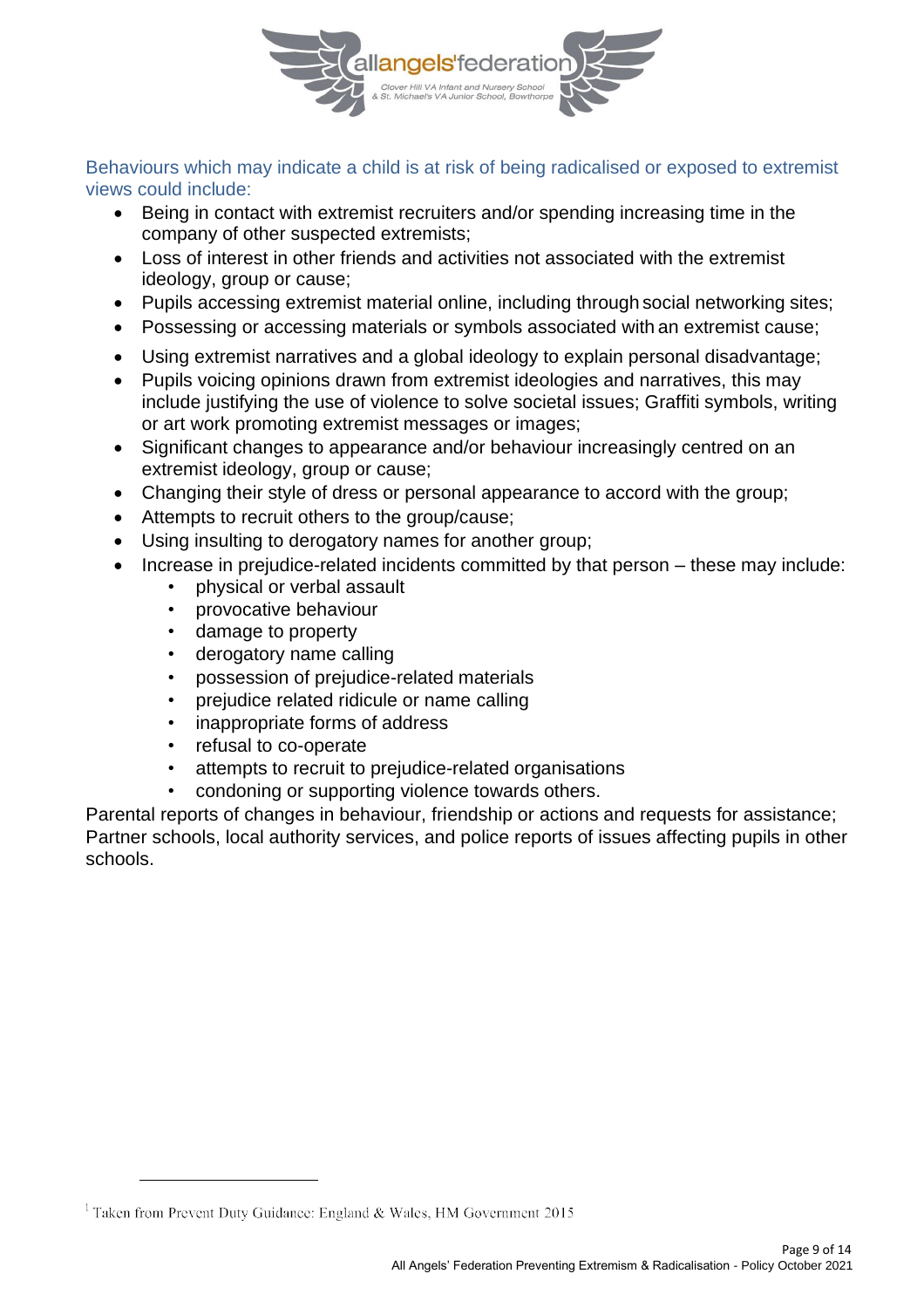

Behaviours which may indicate a child is at risk of being radicalised or exposed to extremist views could include:

- Being in contact with extremist recruiters and/or spending increasing time in the company of other suspected extremists;
- Loss of interest in other friends and activities not associated with the extremist ideology, group or cause;
- Pupils accessing extremist material online, including through social networking sites;
- Possessing or accessing materials or symbols associated with an extremist cause;
- Using extremist narratives and a global ideology to explain personal disadvantage;
- Pupils voicing opinions drawn from extremist ideologies and narratives, this may include justifying the use of violence to solve societal issues; Graffiti symbols, writing or art work promoting extremist messages or images;
- Significant changes to appearance and/or behaviour increasingly centred on an extremist ideology, group or cause;
- Changing their style of dress or personal appearance to accord with the group;
- Attempts to recruit others to the group/cause;
- Using insulting to derogatory names for another group;
- Increase in prejudice-related incidents committed by that person these may include:
	- physical or verbal assault
	- provocative behaviour
	- damage to property
	- derogatory name calling
	- possession of prejudice-related materials
	- prejudice related ridicule or name calling
	- inappropriate forms of address
	- refusal to co-operate
	- attempts to recruit to prejudice-related organisations
	- condoning or supporting violence towards others.

Parental reports of changes in behaviour, friendship or actions and requests for assistance; Partner schools, local authority services, and police reports of issues affecting pupils in other schools.

<sup>&</sup>lt;sup>1</sup> Taken from Prevent Duty Guidance: England & Wales, HM Government 2015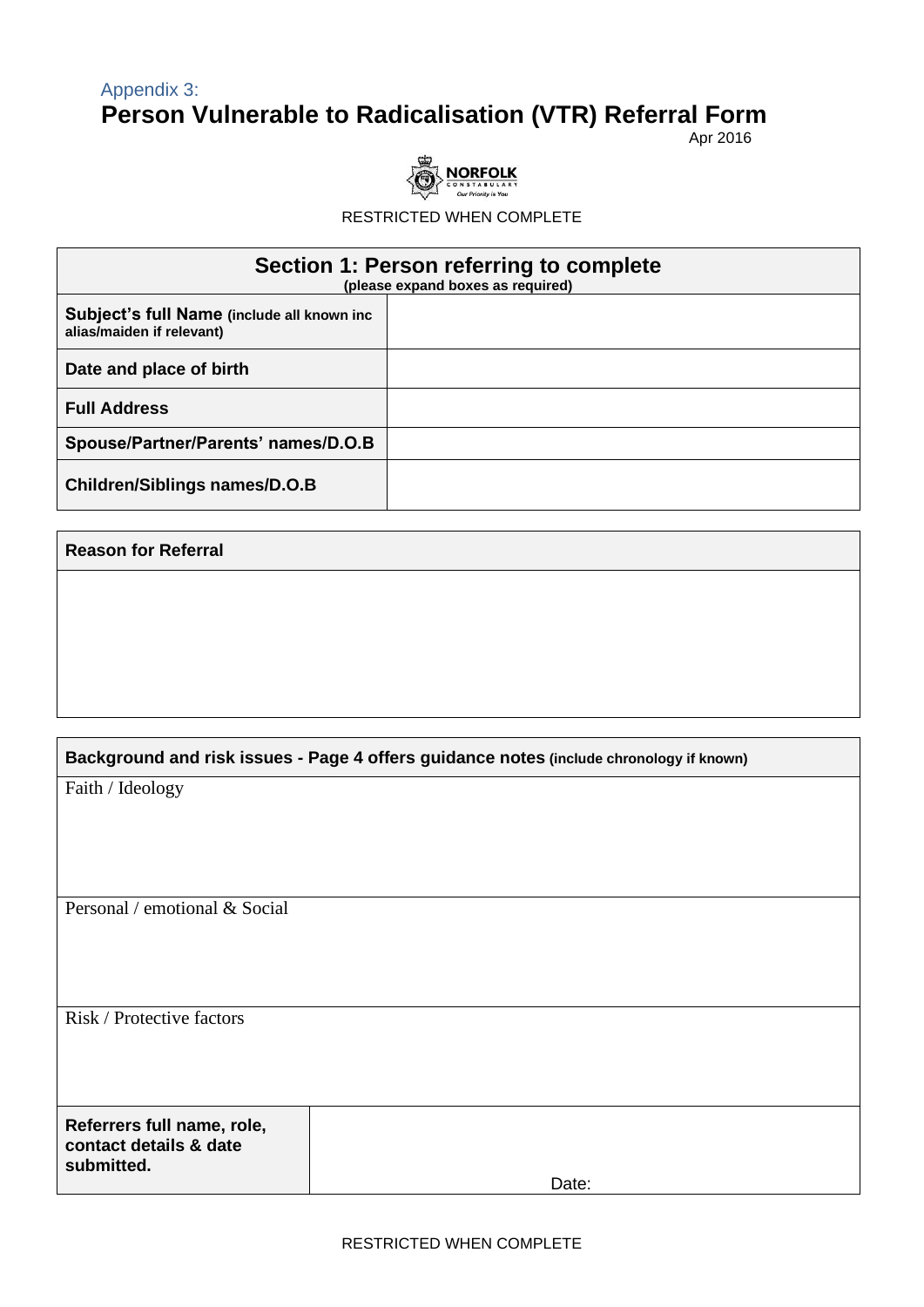## Appendix 3: **Person Vulnerable to Radicalisation (VTR) Referral Form**

Apr 2016



RESTRICTED WHEN COMPLETE

| Section 1: Person referring to complete<br>(please expand boxes as required) |  |  |  |  |
|------------------------------------------------------------------------------|--|--|--|--|
| Subject's full Name (include all known inc<br>alias/maiden if relevant)      |  |  |  |  |
| Date and place of birth                                                      |  |  |  |  |
| <b>Full Address</b>                                                          |  |  |  |  |
| Spouse/Partner/Parents' names/D.O.B                                          |  |  |  |  |
| <b>Children/Siblings names/D.O.B</b>                                         |  |  |  |  |

#### **Reason for Referral**

| Background and risk issues - Page 4 offers guidance notes (include chronology if known) |       |  |
|-----------------------------------------------------------------------------------------|-------|--|
| Faith / Ideology                                                                        |       |  |
|                                                                                         |       |  |
|                                                                                         |       |  |
|                                                                                         |       |  |
| Personal / emotional & Social                                                           |       |  |
|                                                                                         |       |  |
|                                                                                         |       |  |
|                                                                                         |       |  |
| Risk / Protective factors                                                               |       |  |
|                                                                                         |       |  |
|                                                                                         |       |  |
| Referrers full name, role,<br>contact details & date<br>submitted.                      |       |  |
|                                                                                         | Date: |  |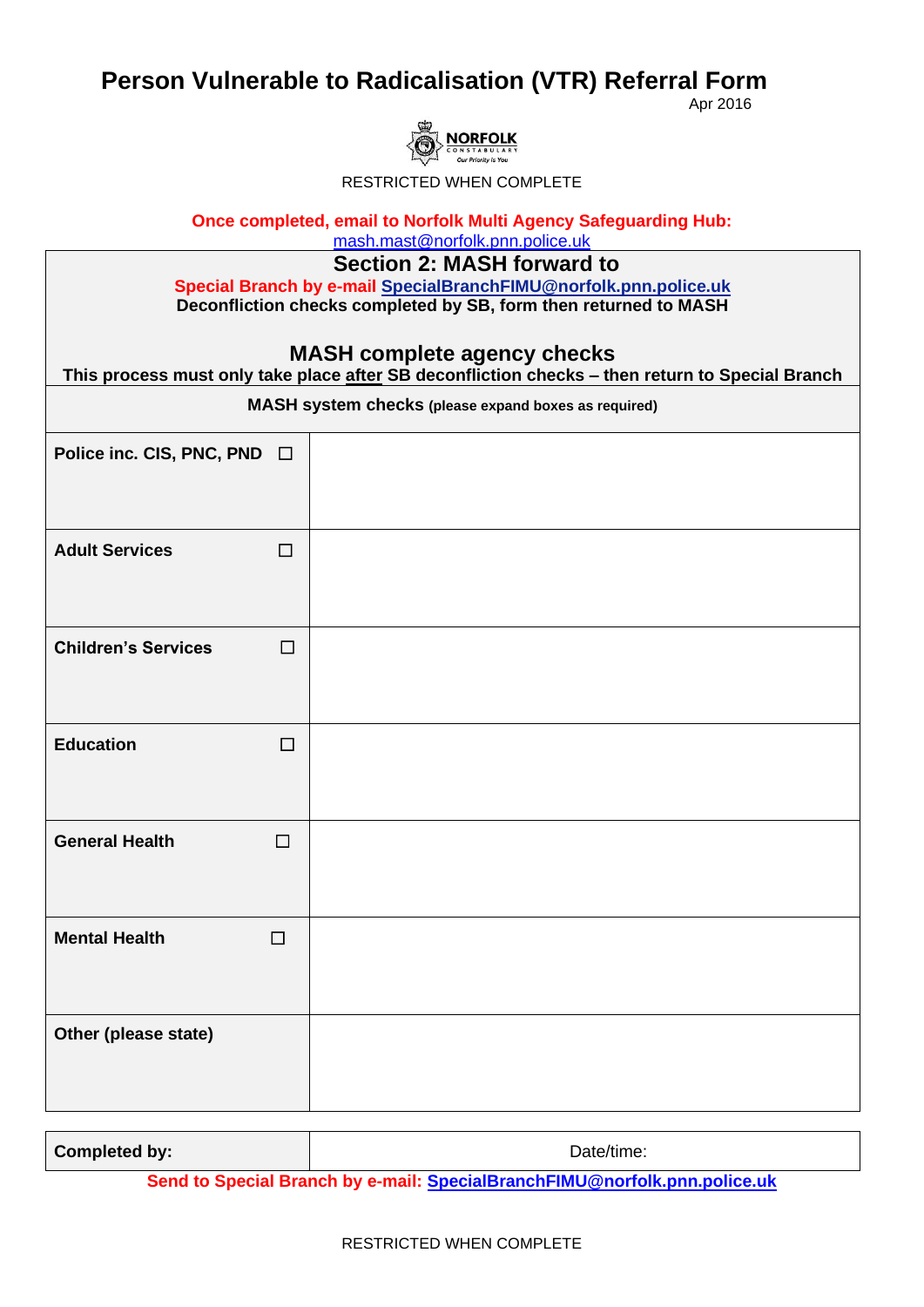## **Person Vulnerable to Radicalisation (VTR) Referral Form**

Apr 2016



RESTRICTED WHEN COMPLETE

**Once completed, email to Norfolk Multi Agency Safeguarding Hub:** 

[mash.mast@norfolk.pnn.police.uk](mailto:mash.mast@norfolk.pnn.police.uk)

**Section 2: MASH forward to** 

**Special Branch by e-mail SpecialBranchFIMU@norfolk.pnn.police.uk Deconfliction checks completed by SB, form then returned to MASH**

#### **MASH complete agency checks**

| .g -<br>This process must only take place after SB deconfliction checks - then return to Special Branch |        |  |
|---------------------------------------------------------------------------------------------------------|--------|--|
| MASH system checks (please expand boxes as required)                                                    |        |  |
| Police inc. CIS, PNC, PND □                                                                             |        |  |
| <b>Adult Services</b>                                                                                   | $\Box$ |  |
| <b>Children's Services</b>                                                                              | $\Box$ |  |
| <b>Education</b>                                                                                        | $\Box$ |  |
| <b>General Health</b>                                                                                   | $\Box$ |  |
| <b>Mental Health</b>                                                                                    | $\Box$ |  |
| Other (please state)                                                                                    |        |  |

**Send to Special Branch by e-mail: [SpecialBranchFIMU@norfolk.pnn.police.uk](mailto:SpecialBranchFIMU@norfolk.pnn.police.uk)**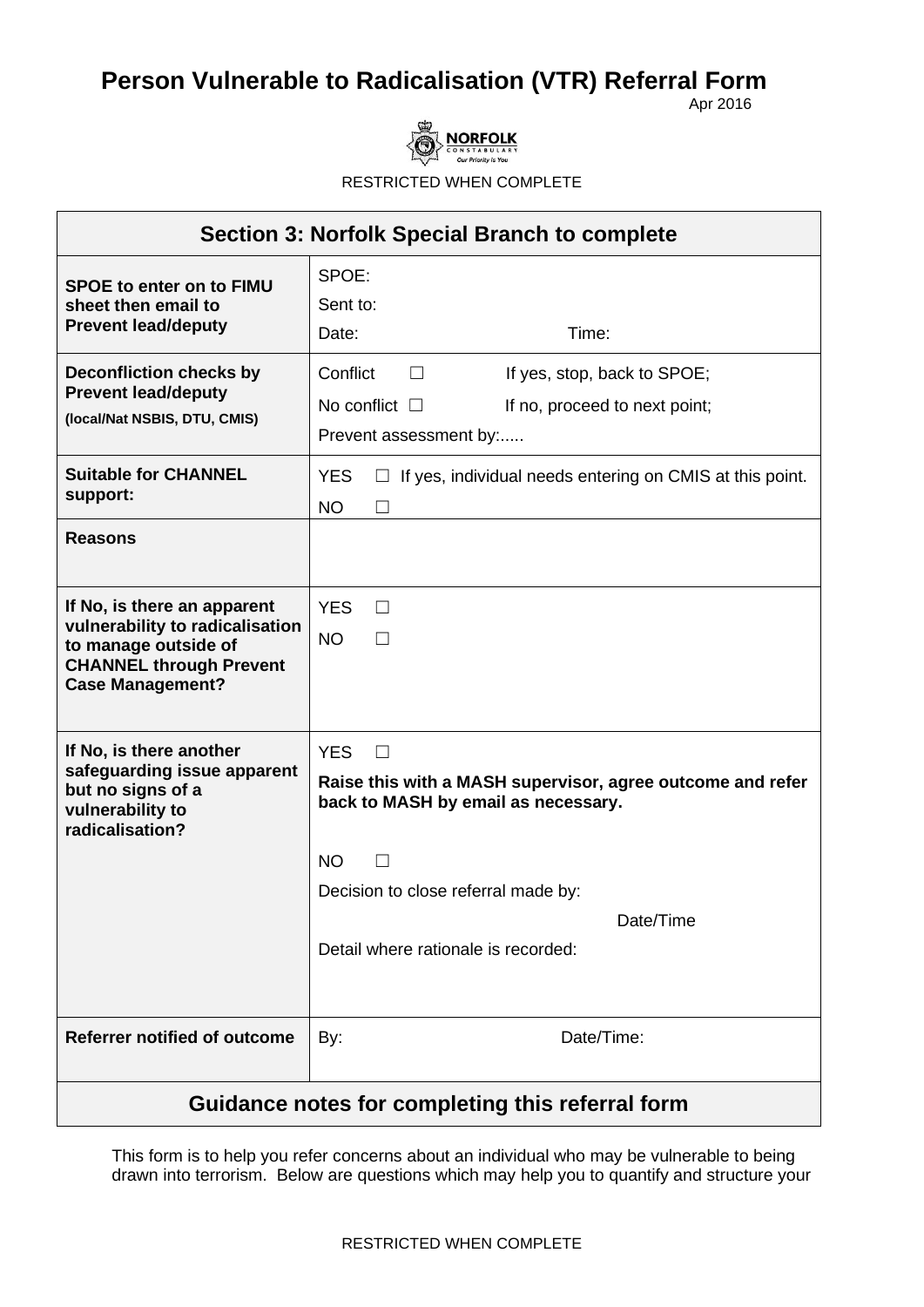# **Person Vulnerable to Radicalisation (VTR) Referral Form**

Apr 2016



RESTRICTED WHEN COMPLETE

| <b>Section 3: Norfolk Special Branch to complete</b>                                                                                                |                                                                                                                                                                                                                                   |  |
|-----------------------------------------------------------------------------------------------------------------------------------------------------|-----------------------------------------------------------------------------------------------------------------------------------------------------------------------------------------------------------------------------------|--|
| <b>SPOE to enter on to FIMU</b><br>sheet then email to<br><b>Prevent lead/deputy</b>                                                                | SPOE:<br>Sent to:<br>Time:<br>Date:                                                                                                                                                                                               |  |
| <b>Deconfliction checks by</b><br><b>Prevent lead/deputy</b><br>(local/Nat NSBIS, DTU, CMIS)                                                        | Conflict<br>If yes, stop, back to SPOE;<br>$\Box$<br>No conflict $\Box$<br>If no, proceed to next point;<br>Prevent assessment by:                                                                                                |  |
| <b>Suitable for CHANNEL</b><br>support:                                                                                                             | <b>YES</b><br>If yes, individual needs entering on CMIS at this point.<br><b>NO</b>                                                                                                                                               |  |
| <b>Reasons</b>                                                                                                                                      |                                                                                                                                                                                                                                   |  |
| If No, is there an apparent<br>vulnerability to radicalisation<br>to manage outside of<br><b>CHANNEL through Prevent</b><br><b>Case Management?</b> | <b>YES</b><br>П<br><b>NO</b>                                                                                                                                                                                                      |  |
| If No, is there another<br>safeguarding issue apparent<br>but no signs of a<br>vulnerability to<br>radicalisation?                                  | <b>YES</b><br>$\Box$<br>Raise this with a MASH supervisor, agree outcome and refer<br>back to MASH by email as necessary.<br><b>NO</b><br>Decision to close referral made by:<br>Date/Time<br>Detail where rationale is recorded: |  |
| <b>Referrer notified of outcome</b>                                                                                                                 | Date/Time:<br>By:                                                                                                                                                                                                                 |  |
| Guidance notes for completing this referral form                                                                                                    |                                                                                                                                                                                                                                   |  |

This form is to help you refer concerns about an individual who may be vulnerable to being drawn into terrorism. Below are questions which may help you to quantify and structure your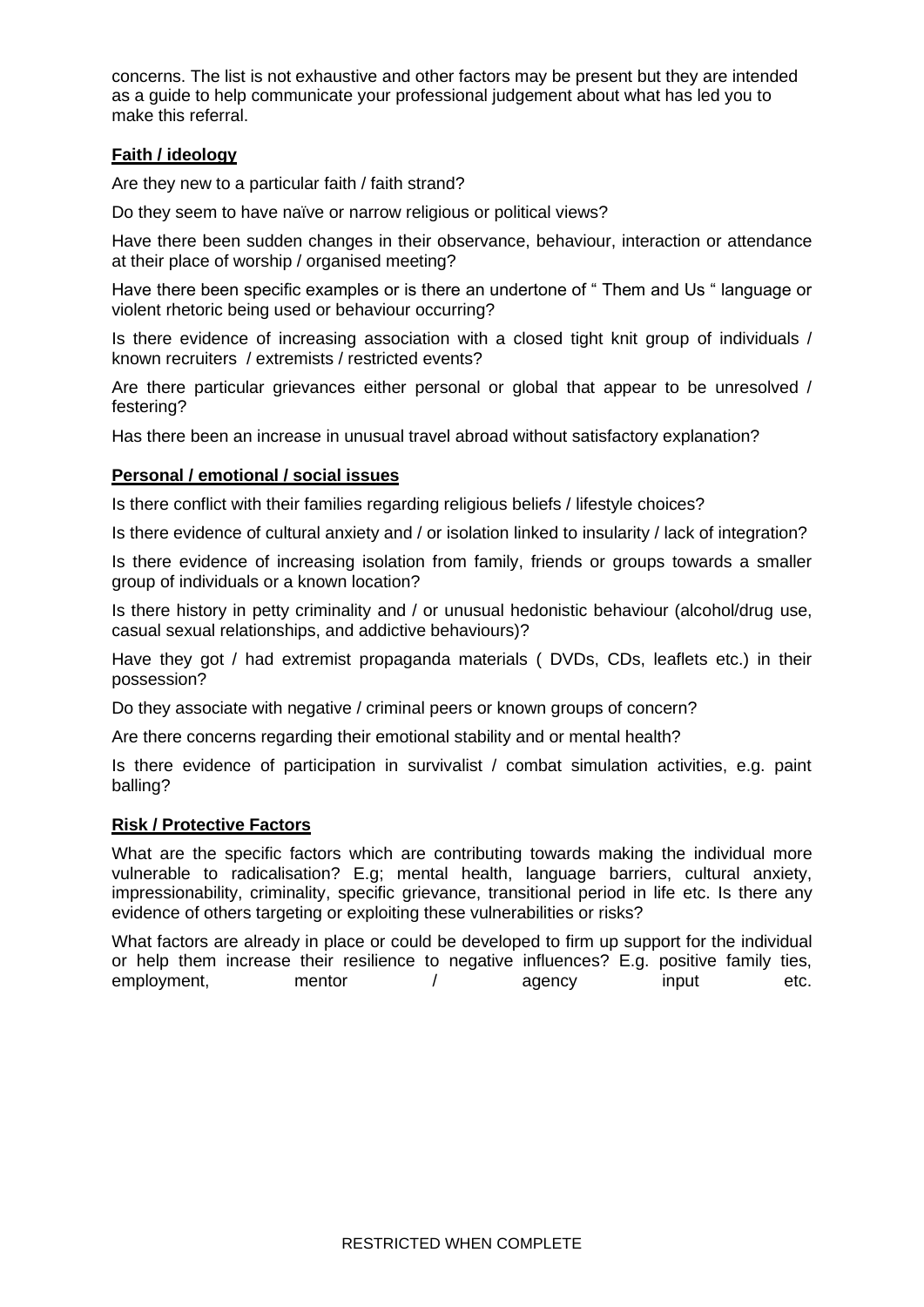concerns. The list is not exhaustive and other factors may be present but they are intended as a guide to help communicate your professional judgement about what has led you to make this referral.

#### **Faith / ideology**

Are they new to a particular faith / faith strand?

Do they seem to have naïve or narrow religious or political views?

Have there been sudden changes in their observance, behaviour, interaction or attendance at their place of worship / organised meeting?

Have there been specific examples or is there an undertone of " Them and Us " language or violent rhetoric being used or behaviour occurring?

Is there evidence of increasing association with a closed tight knit group of individuals / known recruiters / extremists / restricted events?

Are there particular grievances either personal or global that appear to be unresolved / festering?

Has there been an increase in unusual travel abroad without satisfactory explanation?

#### **Personal / emotional / social issues**

Is there conflict with their families regarding religious beliefs / lifestyle choices?

Is there evidence of cultural anxiety and / or isolation linked to insularity / lack of integration?

Is there evidence of increasing isolation from family, friends or groups towards a smaller group of individuals or a known location?

Is there history in petty criminality and / or unusual hedonistic behaviour (alcohol/drug use, casual sexual relationships, and addictive behaviours)?

Have they got / had extremist propaganda materials (DVDs, CDs, leaflets etc.) in their possession?

Do they associate with negative / criminal peers or known groups of concern?

Are there concerns regarding their emotional stability and or mental health?

Is there evidence of participation in survivalist / combat simulation activities, e.g. paint balling?

#### **Risk / Protective Factors**

What are the specific factors which are contributing towards making the individual more vulnerable to radicalisation? E.g; mental health, language barriers, cultural anxiety, impressionability, criminality, specific grievance, transitional period in life etc. Is there any evidence of others targeting or exploiting these vulnerabilities or risks?

What factors are already in place or could be developed to firm up support for the individual or help them increase their resilience to negative influences? E.g. positive family ties, employment, mentor / agency input etc.